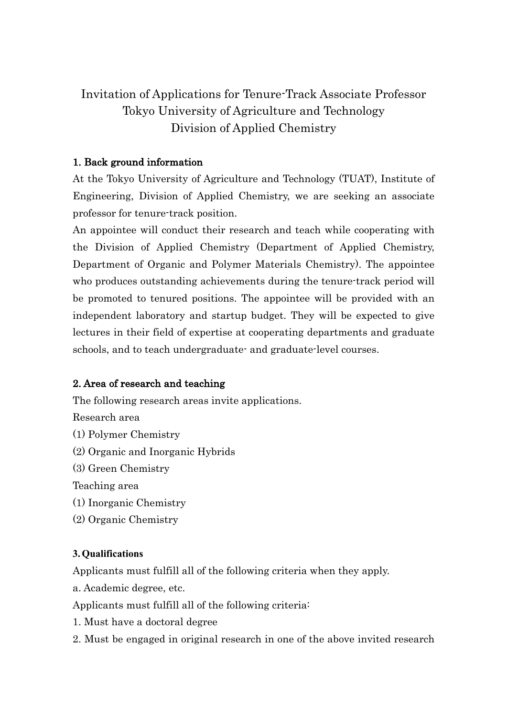# Invitation of Applications for Tenure-Track Associate Professor Tokyo University of Agriculture and Technology Division of Applied Chemistry

### 1. Back ground information

At the Tokyo University of Agriculture and Technology (TUAT), Institute of Engineering, Division of Applied Chemistry, we are seeking an associate professor for tenure-track position.

An appointee will conduct their research and teach while cooperating with the Division of Applied Chemistry (Department of Applied Chemistry, Department of Organic and Polymer Materials Chemistry). The appointee who produces outstanding achievements during the tenure-track period will be promoted to tenured positions. The appointee will be provided with an independent laboratory and startup budget. They will be expected to give lectures in their field of expertise at cooperating departments and graduate schools, and to teach undergraduate- and graduate-level courses.

### 2. Area of research and teaching

The following research areas invite applications.

Research area

- (1) Polymer Chemistry
- (2) Organic and Inorganic Hybrids
- (3) Green Chemistry

Teaching area

- (1) Inorganic Chemistry
- (2) Organic Chemistry

### **3.Qualifications**

Applicants must fulfill all of the following criteria when they apply.

a. Academic degree, etc.

Applicants must fulfill all of the following criteria:

- 1. Must have a doctoral degree
- 2. Must be engaged in original research in one of the above invited research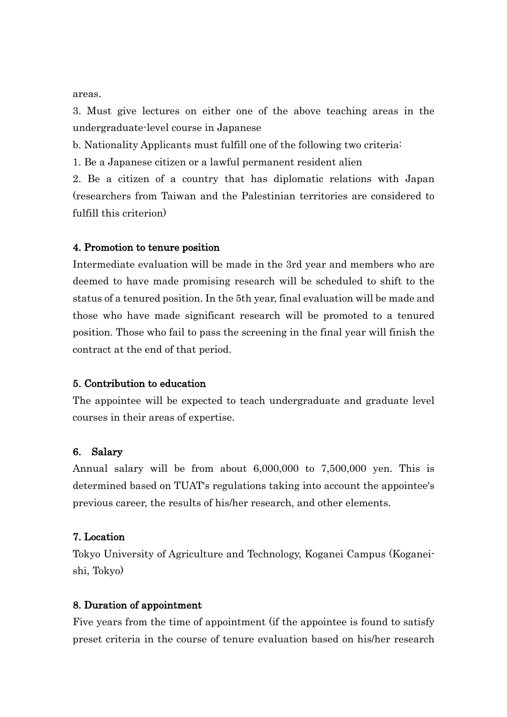areas.

3. Must give lectures on either one of the above teaching areas in the undergraduate-level course in Japanese

b. Nationality Applicants must fulfill one of the following two criteria:

1. Be a Japanese citizen or a lawful permanent resident alien

2. Be a citizen of a country that has diplomatic relations with Japan (researchers from Taiwan and the Palestinian territories are considered to fulfill this criterion)

### 4. Promotion to tenure position

Intermediate evaluation will be made in the 3rd year and members who are deemed to have made promising research will be scheduled to shift to the status of a tenured position. In the 5th year, final evaluation will be made and those who have made significant research will be promoted to a tenured position. Those who fail to pass the screening in the final year will finish the contract at the end of that period.

### 5. Contribution to education

The appointee will be expected to teach undergraduate and graduate level courses in their areas of expertise.

### 6. Salary

Annual salary will be from about 6,000,000 to 7,500,000 yen. This is determined based on TUAT's regulations taking into account the appointee's previous career, the results of his/her research, and other elements.

### 7. Location

Tokyo University of Agriculture and Technology, Koganei Campus (Koganeishi, Tokyo)

#### 8. Duration of appointment

Five years from the time of appointment (if the appointee is found to satisfy preset criteria in the course of tenure evaluation based on his/her research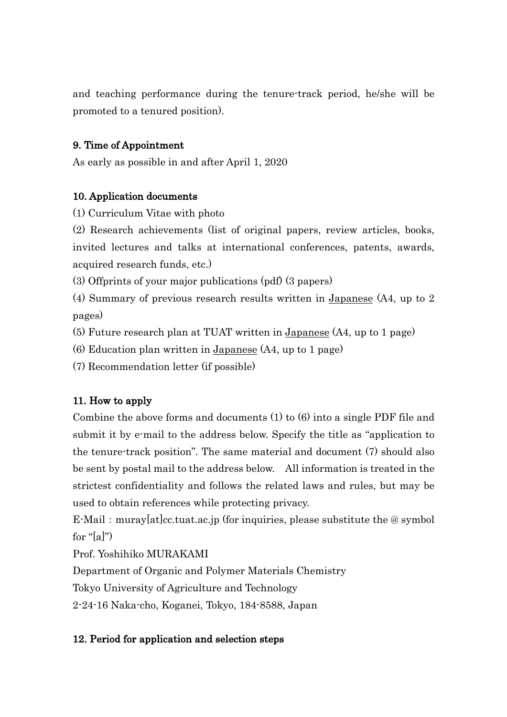and teaching performance during the tenure-track period, he/she will be promoted to a tenured position).

# 9. Time of Appointment

As early as possible in and after April 1, 2020

### 10. Application documents

(1) Curriculum Vitae with photo

(2) Research achievements (list of original papers, review articles, books, invited lectures and talks at international conferences, patents, awards, acquired research funds, etc.)

(3) Offprints of your major publications (pdf) (3 papers)

(4) Summary of previous research results written in Japanese (A4, up to 2 pages)

(5) Future research plan at TUAT written in Japanese (A4, up to 1 page)

(6) Education plan written in Japanese (A4, up to 1 page)

(7) Recommendation letter (if possible)

# 11. How to apply

Combine the above forms and documents (1) to (6) into a single PDF file and submit it by e-mail to the address below. Specify the title as "application to the tenure-track position". The same material and document (7) should also be sent by postal mail to the address below. All information is treated in the strictest confidentiality and follows the related laws and rules, but may be used to obtain references while protecting privacy.

E-Mail: muray[at]cc.tuat.ac.jp (for inquiries, please substitute the  $@$  symbol for " $[a]$ ")

Prof. Yoshihiko MURAKAMI

Department of Organic and Polymer Materials Chemistry

Tokyo University of Agriculture and Technology

2-24-16 Naka-cho, Koganei, Tokyo, 184-8588, Japan

# 12. Period for application and selection steps